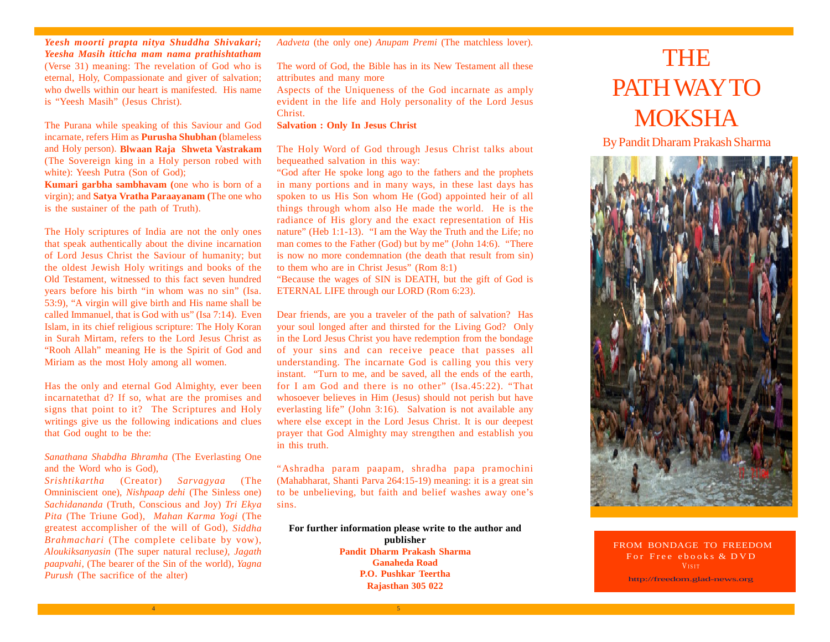*Yeesh moorti prapta nitya Shuddha Shivakari; Yeesha Masih itticha mam nama prathishtatham* (Verse 31) meaning: The revelation of God who is eternal, Holy, Compassionate and giver of salvation; who dwells within our heart is manifested. His name is "Yeesh Masih" (Jesus Christ).

The Purana while speaking of this Saviour and God incarnate, refers Him as **Purusha Shubhan (**blameless and Holy person). **Blwaan Raja Shweta Vastrakam** (The Sovereign king in a Holy person robed with white): Yeesh Putra (Son of God);

**Kumari garbha sambhavam (**one who is born of a virgin); and **Satya Vratha Paraayanam (**The one who is the sustainer of the path of Truth).

The Holy scriptures of India are not the only ones that speak authentically about the divine incarnation of Lord Jesus Christ the Saviour of humanity; but the oldest Jewish Holy writings and books of the Old Testament, witnessed to this fact seven hundred years before his birth "in whom was no sin" (Isa. 53:9), "A virgin will give birth and His name shall be called Immanuel, that is God with us" (Isa 7:14). Even Islam, in its chief religious scripture: The Holy Koran in Surah Mirtam, refers to the Lord Jesus Christ as "Rooh Allah" meaning He is the Spirit of God and Miriam as the most Holy among all women.

Has the only and eternal God Almighty, ever been incarnatethat d? If so, what are the promises and signs that point to it? The Scriptures and Holy writings give us the following indications and clues that God ought to be the:

### *Sanathana Shabdha Bhramha* (The Everlasting One and the Word who is God),

*Srishtikartha* (Creator) *Sarvagyaa* (The Omniniscient one), *Nishpaap dehi* (The Sinless one) *Sachidananda* (Truth, Conscious and Joy) *Tri Ekya Pita* (The Triune God), *Mahan Karma Yogi* (The greatest accomplisher of the will of God), *Siddha Brahmachari* (The complete celibate by vow), *Aloukiksanyasin* (The super natural recluse*), Jagath paapvahi*, (The bearer of the Sin of the world), *Yagna Purush* (The sacrifice of the alter)

*Aadveta* (the only one) *Anupam Premi* (The matchless lover).

The word of God, the Bible has in its New Testament all these attributes and many more

Aspects of the Uniqueness of the God incarnate as amply evident in the life and Holy personality of the Lord Jesus Christ.

### **Salvation : Only In Jesus Christ**

The Holy Word of God through Jesus Christ talks about bequeathed salvation in this way:

"God after He spoke long ago to the fathers and the prophets in many portions and in many ways, in these last days has spoken to us His Son whom He (God) appointed heir of all things through whom also He made the world. He is the radiance of His glory and the exact representation of His nature" (Heb 1:1-13). "I am the Way the Truth and the Life; no man comes to the Father (God) but by me" (John 14:6). "There is now no more condemnation (the death that result from sin) to them who are in Christ Jesus" (Rom 8:1)

"Because the wages of SIN is DEATH, but the gift of God is ETERNAL LIFE through our LORD (Rom 6:23).

Dear friends, are you a traveler of the path of salvation? Has your soul longed after and thirsted for the Living God? Only in the Lord Jesus Christ you have redemption from the bondage of your sins and can receive peace that passes all understanding. The incarnate God is calling you this very instant. "Turn to me, and be saved, all the ends of the earth, for I am God and there is no other" (Isa.45:22). "That whosoever believes in Him (Jesus) should not perish but have everlasting life" (John 3:16). Salvation is not available any where else except in the Lord Jesus Christ. It is our deepest prayer that God Almighty may strengthen and establish you in this truth.

"Ashradha param paapam, shradha papa pramochini (Mahabharat, Shanti Parva 264:15-19) meaning: it is a great sin to be unbelieving, but faith and belief washes away one's sins.

#### **For further information please write to the author and publisher**

**Pandit Dharm Prakash Sharma Ganaheda Road P.O. Pushkar Teertha Rajasthan 305 022**

 $4$  5  $\overline{5}$  5  $\overline{5}$  5  $\overline{5}$  5  $\overline{5}$  5  $\overline{5}$  5  $\overline{5}$  5  $\overline{5}$  5  $\overline{5}$  5  $\overline{5}$  5  $\overline{5}$  5  $\overline{5}$  5  $\overline{5}$  5  $\overline{5}$  5  $\overline{5}$  5  $\overline{5}$  5  $\overline{5}$  5  $\overline{5}$  5  $\overline{5}$  5  $\overline{5}$  5  $\overline{5$ 

# THE PATH WAY TO **MOKSHA**

By Pandit Dharam Prakash Sharma



FROM BONDAGE TO FREEDOM For Free ebooks & DVD V<sub>ISIT</sub>

http://freedom.glad-news.org